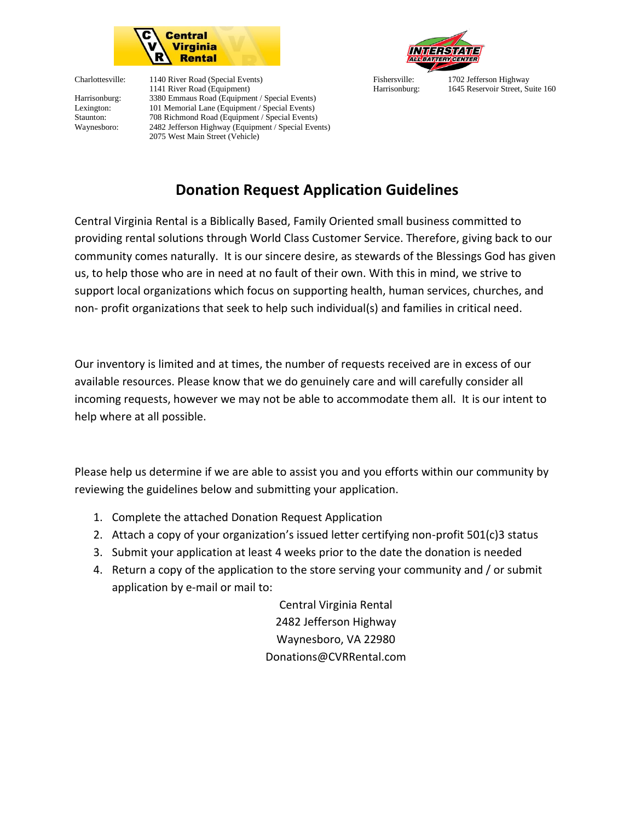

Charlottesville: 1140 River Road (Special Events) Fishersville: 1702 Jefferson Highway 1141 River Road (Equipment) Harrisonburg: 1645 Reservoir Street, Suite 160 Harrisonburg: 3380 Emmaus Road (Equipment / Special Events) Lexington: 101 Memorial Lane (Equipment / Special Events) Staunton: 708 Richmond Road (Equipment / Special Events) Waynesboro: 2482 Jefferson Highway (Equipment / Special Events) 2075 West Main Street (Vehicle)



## **Donation Request Application Guidelines**

Central Virginia Rental is a Biblically Based, Family Oriented small business committed to providing rental solutions through World Class Customer Service. Therefore, giving back to our community comes naturally. It is our sincere desire, as stewards of the Blessings God has given us, to help those who are in need at no fault of their own. With this in mind, we strive to support local organizations which focus on supporting health, human services, churches, and non- profit organizations that seek to help such individual(s) and families in critical need.

Our inventory is limited and at times, the number of requests received are in excess of our available resources. Please know that we do genuinely care and will carefully consider all incoming requests, however we may not be able to accommodate them all. It is our intent to help where at all possible.

Please help us determine if we are able to assist you and you efforts within our community by reviewing the guidelines below and submitting your application.

- 1. Complete the attached Donation Request Application
- 2. Attach a copy of your organization's issued letter certifying non-profit 501(c)3 status
- 3. Submit your application at least 4 weeks prior to the date the donation is needed
- 4. Return a copy of the application to the store serving your community and / or submit application by e-mail or mail to:

Central Virginia Rental 2482 Jefferson Highway Waynesboro, VA 22980 Donations@CVRRental.com